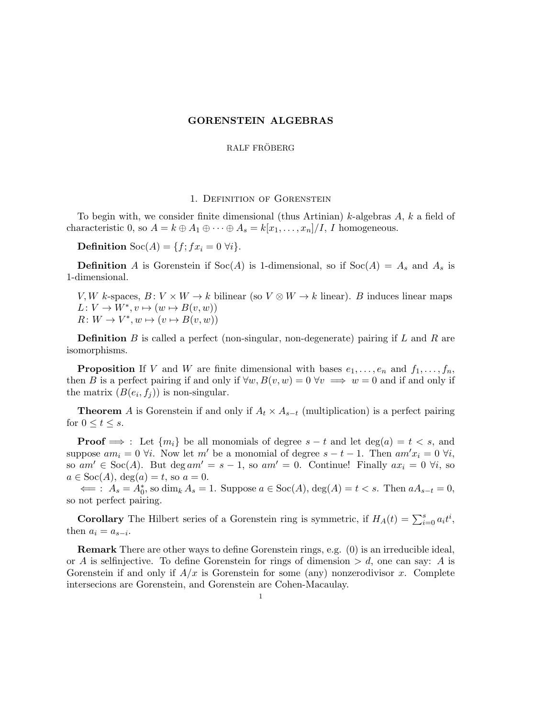### GORENSTEIN ALGEBRAS

### RALF FRÖBERG

# 1. Definition of Gorenstein

To begin with, we consider finite dimensional (thus Artinian) k-algebras  $A$ ,  $k$  a field of characteristic 0, so  $A = k \oplus A_1 \oplus \cdots \oplus A_s = k[x_1, \ldots, x_n]/I$ , I homogeneous.

**Definition** Soc(A) = { $f$ ;  $fx_i = 0 \ \forall i$  }.

**Definition** A is Gorenstein if  $Soc(A)$  is 1-dimensional, so if  $Soc(A) = A_s$  and  $A_s$  is 1-dimensional.

V, W k-spaces,  $B: V \times W \to k$  bilinear (so  $V \otimes W \to k$  linear). B induces linear maps  $L: V \to W^*, v \mapsto (w \mapsto B(v, w))$  $R: W \to V^*, w \mapsto (v \mapsto B(v, w))$ 

**Definition** B is called a perfect (non-singular, non-degenerate) pairing if L and R are isomorphisms.

**Proposition** If V and W are finite dimensional with bases  $e_1, \ldots, e_n$  and  $f_1, \ldots, f_n$ , then B is a perfect pairing if and only if  $\forall w, B(v, w) = 0 \,\forall v \implies w = 0$  and if and only if the matrix  $(B(e_i, f_j))$  is non-singular.

**Theorem** A is Gorenstein if and only if  $A_t \times A_{s-t}$  (multiplication) is a perfect pairing for  $0 \le t \le s$ .

**Proof**  $\implies$  : Let  $\{m_i\}$  be all monomials of degree  $s - t$  and let deg(a) =  $t < s$ , and suppose  $am_i = 0 \forall i$ . Now let m' be a monomial of degree  $s - t - 1$ . Then  $am'x_i = 0 \forall i$ , so am' ∈ Soc(A). But deg am' = s - 1, so am' = 0. Continue! Finally  $ax_i = 0$   $\forall i$ , so  $a \in \text{Soc}(A), \text{deg}(a) = t$ , so  $a = 0$ .

 $\Leftarrow$ :  $A_s = A_0^*$ , so dim<sub>k</sub>  $A_s = 1$ . Suppose  $a \in \text{Soc}(A)$ , deg(A) =  $t < s$ . Then  $aA_{s-t} = 0$ , so not perfect pairing.

**Corollary** The Hilbert series of a Gorenstein ring is symmetric, if  $H_A(t) = \sum_{i=0}^{s} a_i t^i$ , then  $a_i = a_{s-i}$ .

Remark There are other ways to define Gorenstein rings, e.g. (0) is an irreducible ideal, or A is selfinjective. To define Gorenstein for rings of dimension  $> d$ , one can say: A is Gorenstein if and only if  $A/x$  is Gorenstein for some (any) nonzerodivisor x. Complete intersecions are Gorenstein, and Gorenstein are Cohen-Macaulay.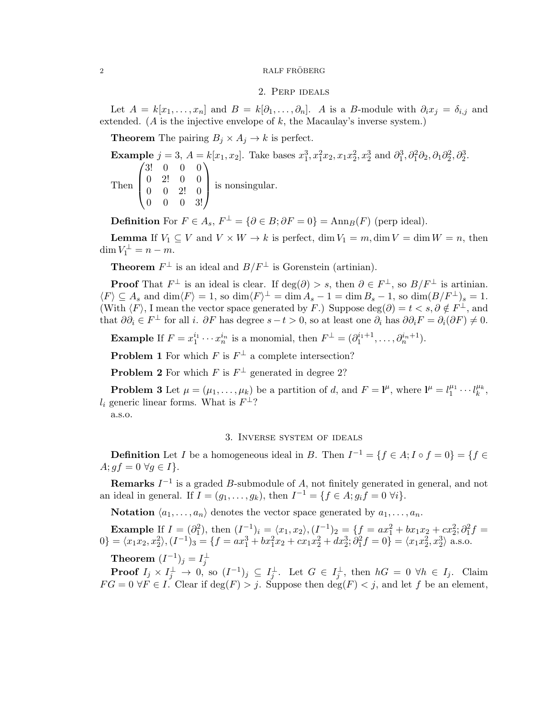#### ${\rm RALF\ FR\ddot{O}BERG}$

# 2. Perp ideals

Let  $A = k[x_1, \ldots, x_n]$  and  $B = k[\partial_1, \ldots, \partial_n]$ . A is a B-module with  $\partial_i x_j = \delta_{i,j}$  and extended. (A is the injective envelope of  $k$ , the Macaulay's inverse system.)

**Theorem** The pairing  $B_j \times A_j \to k$  is perfect.

Example  $j = 3$ ,  $A = k[x_1, x_2]$ . Take bases  $x_1^3, x_1^2x_2, x_1x_2^2, x_2^3$  and  $\partial_1^3, \partial_1^2\partial_2, \partial_1\partial_2^2, \partial_2^3$ . Then  $\sqrt{ }$  $\vert$ 3! 0 0 0 0 2! 0 0 0 0 2! 0 0 0 0 3!  $\setminus$ is nonsingular.

**Definition** For  $F \in A_s$ ,  $F^{\perp} = {\partial \in B; \partial F = 0} = \text{Ann}_B(F)$  (perp ideal).

**Lemma** If  $V_1 \subseteq V$  and  $V \times W \to k$  is perfect, dim  $V_1 = m$ , dim  $V = \dim W = n$ , then  $\dim V_1^{\perp} = n - m.$ 

**Theorem**  $F^{\perp}$  is an ideal and  $B/F^{\perp}$  is Gorenstein (artinian).

**Proof** That  $F^{\perp}$  is an ideal is clear. If  $\deg(\partial) > s$ , then  $\partial \in F^{\perp}$ , so  $B/F^{\perp}$  is artinian.  $\langle F \rangle \subseteq A_s$  and  $\dim \langle F \rangle = 1$ , so  $\dim \langle F \rangle^{\perp} = \dim A_s - 1 = \dim B_s - 1$ , so  $\dim (B/F^{\perp})_s = 1$ . (With  $\langle F \rangle$ , I mean the vector space generated by F.) Suppose deg( $\partial$ ) =  $t < s$ ,  $\partial \notin F^{\perp}$ , and that  $\partial \partial_i \in F^{\perp}$  for all i.  $\partial F$  has degree  $s-t > 0$ , so at least one  $\partial_i$  has  $\partial \partial_i F = \partial_i(\partial F) \neq 0$ .

**Example** If  $F = x_1^{i_1} \cdots x_n^{i_n}$  is a monomial, then  $F^{\perp} = (\partial_1^{i_1+1}, \ldots, \partial_n^{i_n+1})$ .

**Problem 1** For which  $F$  is  $F^{\perp}$  a complete intersection?

**Problem 2** For which F is  $F^{\perp}$  generated in degree 2?

**Problem 3** Let  $\mu = (\mu_1, \dots, \mu_k)$  be a partition of d, and  $F = \mathbf{l}^{\mu}$ , where  $\mathbf{l}^{\mu} = l_1^{\mu_1} \cdots l_k^{\mu_k}$ ,  $l_i$  generic linear forms. What is  $F^{\perp}$ ?

a.s.o.

## 3. Inverse system of ideals

**Definition** Let I be a homogeneous ideal in B. Then  $I^{-1} = \{f \in A; I \circ f = 0\} = \{f \in I\}$  $A; gf = 0 \ \forall g \in I$ .

**Remarks**  $I^{-1}$  is a graded B-submodule of A, not finitely generated in general, and not an ideal in general. If  $I = (g_1, ..., g_k)$ , then  $I^{-1} = \{ f \in A; g_i f = 0 \; \forall i \}.$ 

**Notation**  $\langle a_1, \ldots, a_n \rangle$  denotes the vector space generated by  $a_1, \ldots, a_n$ .

**Example** If  $I = (\partial_1^2)$ , then  $(I^{-1})_i = \langle x_1, x_2 \rangle, (I^{-1})_2 = \{f = ax_1^2 + bx_1x_2 + cx_2^2; \partial_1^2 f =$  $0$ } =  $\langle x_1x_2, x_2^2 \rangle, (I^{-1})_3 = \{f = ax_1^3 + bx_1^2x_2 + cx_1x_2^2 + dx_2^3; \partial_1^2 f = 0\} = \langle x_1x_2^2, x_2^3 \rangle$  a.s.o. Theorem  $(I^{-1})_j = I_j^{\perp}$ 

**Proof**  $I_j \times I_j^{\perp} \to 0$ , so  $(I^{-1})_j \subseteq I_j^{\perp}$ . Let  $G \in I_j^{\perp}$ , then  $hG = 0$   $\forall h \in I_j$ . Claim  $FG = 0 \,\forall F \in I$ . Clear if  $\deg(F) > j$ . Suppose then  $\deg(F) < j$ , and let f be an element,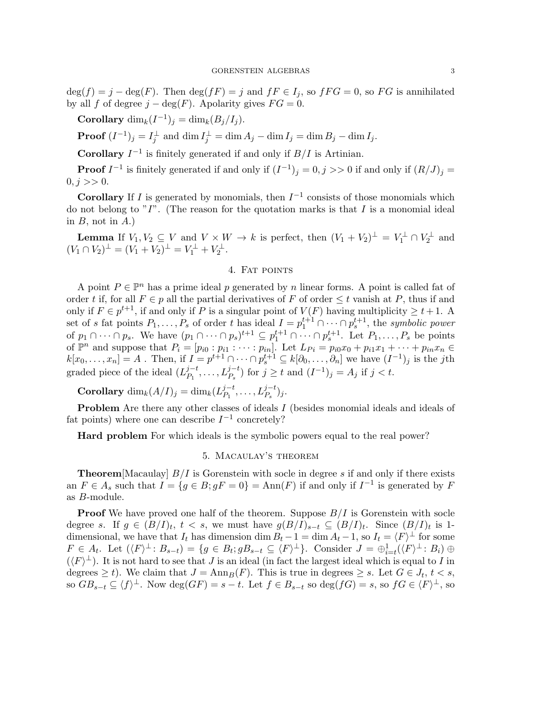$deg(f) = j - deg(F)$ . Then  $deg(fF) = j$  and  $fF \in I_j$ , so  $fFG = 0$ , so  $FG$  is annihilated by all f of degree  $j - \deg(F)$ . Apolarity gives  $FG = 0$ .

Corollary  $\dim_k(I^{-1})_j = \dim_k(B_j/I_j)$ .

**Proof**  $(I^{-1})_j = I_j^{\perp}$  and  $\dim I_j^{\perp} = \dim A_j - \dim I_j = \dim B_j - \dim I_j$ .

**Corollary**  $I^{-1}$  is finitely generated if and only if  $B/I$  is Artinian.

**Proof**  $I^{-1}$  is finitely generated if and only if  $(I^{-1})_j = 0, j >> 0$  if and only if  $(R/J)_j = 0$  $0, j >> 0.$ 

**Corollary** If I is generated by monomials, then  $I^{-1}$  consists of those monomials which do not belong to  $T$ . (The reason for the quotation marks is that I is a monomial ideal in  $B$ , not in  $A$ .)

**Lemma** If  $V_1, V_2 \subseteq V$  and  $V \times W \to k$  is perfect, then  $(V_1 + V_2)^{\perp} = V_1^{\perp} \cap V_2^{\perp}$  and  $(V_1 \cap V_2)^{\perp} = (V_1 + V_2)^{\perp} = V_1^{\perp} + V_2^{\perp}.$ 

# 4. Fat points

A point  $P \in \mathbb{P}^n$  has a prime ideal p generated by n linear forms. A point is called fat of order t if, for all  $F \in p$  all the partial derivatives of F of order  $\leq t$  vanish at P, thus if and only if  $F \in p^{t+1}$ , if and only if P is a singular point of  $V(F)$  having multiplicity  $\geq t+1$ . A set of s fat points  $P_1, \ldots, P_s$  of order t has ideal  $I = p_1^{t+1} \cap \cdots \cap p_s^{t+1}$ , the symbolic power of  $p_1 \cap \cdots \cap p_s$ . We have  $(p_1 \cap \cdots \cap p_s)^{t+1} \subseteq p_1^{t+1} \cap \cdots \cap p_s^{t+1}$ . Let  $P_1, \ldots, P_s$  be points of  $\mathbb{P}^n$  and suppose that  $P_i = [p_{i0} : p_{i1} : \cdots : p_{in}]$ . Let  $L_{Pi} = p_{i0}x_0 + p_{i1}x_1 + \cdots + p_{in}x_n \in$  $k[x_0,\ldots,x_n]=A$ . Then, if  $I=p^{t+1}\cap\cdots\cap p_s^{t+1}\subseteq k[\partial_0,\ldots,\partial_n]$  we have  $(I^{-1})_j$  is the jth graded piece of the ideal  $(L_P^{j-t}$  $P_1^{j-t}, \ldots, L_{P_s}^{j-t}$  for  $j \ge t$  and  $(I^{-1})_j = A_j$  if  $j < t$ .

**Corollary**  $\dim_k(A/I)_j = \dim_k(L_{P_1}^{j-t})$  $L_{P_1}^{j-t}, \ldots, L_{P_s}^{j-t}$ )j.

**Problem** Are there any other classes of ideals  $I$  (besides monomial ideals and ideals of fat points) where one can describe  $I^{-1}$  concretely?

Hard problem For which ideals is the symbolic powers equal to the real power?

## 5. Macaulay's theorem

**Theorem**[Macaulay]  $B/I$  is Gorenstein with socle in degree s if and only if there exists an  $F \in A_s$  such that  $I = \{ g \in B : gF = 0 \} = \text{Ann}(F)$  if and only if  $I^{-1}$  is generated by F as B-module.

**Proof** We have proved one half of the theorem. Suppose  $B/I$  is Gorenstein with socle degree s. If  $g \in (B/I)_t$ ,  $t < s$ , we must have  $g(B/I)_{s-t} \subseteq (B/I)_t$ . Since  $(B/I)_t$  is 1dimensional, we have that  $I_t$  has dimension dim  $B_t - 1 = \dim A_t - 1$ , so  $I_t = \langle F \rangle^{\perp}$  for some  $F \in A_t$ . Let  $(\langle F \rangle^{\perp} : B_{s-t}) = \{ g \in B_t; gB_{s-t} \subseteq \langle F \rangle^{\perp} \}$ . Consider  $J = \bigoplus_{i=t}^{1} (\langle F \rangle^{\perp} : B_i) \oplus$  $(\langle F \rangle^{\perp})$ . It is not hard to see that J is an ideal (in fact the largest ideal which is equal to I in degrees  $\geq t$ ). We claim that  $J = \text{Ann}_B(F)$ . This is true in degrees  $\geq s$ . Let  $G \in J_t$ ,  $t < s$ , so  $GB_{s-t} \subseteq \langle f \rangle^{\perp}$ . Now  $\deg(GF) = s-t$ . Let  $f \in B_{s-t}$  so  $\deg(fG) = s$ , so  $fG \in \langle F \rangle^{\perp}$ , so